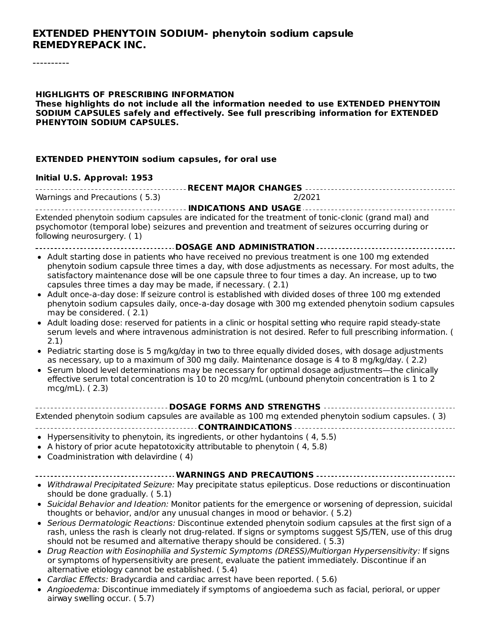#### **EXTENDED PHENYTOIN SODIUM- phenytoin sodium capsule REMEDYREPACK INC.**

#### **HIGHLIGHTS OF PRESCRIBING INFORMATION These highlights do not include all the information needed to use EXTENDED PHENYTOIN SODIUM CAPSULES safely and effectively. See full prescribing information for EXTENDED PHENYTOIN SODIUM CAPSULES.**

#### **EXTENDED PHENYTOIN sodium capsules, for oral use**

#### **Initial U.S. Approval: 1953**

| Warnings and Precautions (5.3) | 2/2021 |  |  |  |  |  |
|--------------------------------|--------|--|--|--|--|--|

**INDICATIONS AND USAGE** Extended phenytoin sodium capsules are indicated for the treatment of tonic-clonic (grand mal) and psychomotor (temporal lobe) seizures and prevention and treatment of seizures occurring during or following neurosurgery. ( 1)

- **DOSAGE AND ADMINISTRATION**
- Adult starting dose in patients who have received no previous treatment is one 100 mg extended phenytoin sodium capsule three times a day, with dose adjustments as necessary. For most adults, the satisfactory maintenance dose will be one capsule three to four times a day. An increase, up to two capsules three times a day may be made, if necessary. ( 2.1)
- Adult once-a-day dose: If seizure control is established with divided doses of three 100 mg extended phenytoin sodium capsules daily, once-a-day dosage with 300 mg extended phenytoin sodium capsules may be considered. ( 2.1)
- Adult loading dose: reserved for patients in a clinic or hospital setting who require rapid steady-state serum levels and where intravenous administration is not desired. Refer to full prescribing information. ( 2.1)
- Pediatric starting dose is 5 mg/kg/day in two to three equally divided doses, with dosage adjustments as necessary, up to a maximum of 300 mg daily. Maintenance dosage is 4 to 8 mg/kg/day. ( 2.2)
- Serum blood level determinations may be necessary for optimal dosage adjustments—the clinically effective serum total concentration is 10 to 20 mcg/mL (unbound phenytoin concentration is 1 to 2 mcg/mL). ( 2.3)

| Extended phenytoin sodium capsules are available as 100 mg extended phenytoin sodium capsules. (3) |  |  |  |  |  |
|----------------------------------------------------------------------------------------------------|--|--|--|--|--|
|                                                                                                    |  |  |  |  |  |

- $\bullet$  Hypersensitivity to phenytoin, its ingredients, or other hydantoins (4, 5.5)
- A history of prior acute hepatotoxicity attributable to phenytoin ( 4, 5.8)
- Coadministration with delavirdine ( 4)

#### **WARNINGS AND PRECAUTIONS**

- Withdrawal Precipitated Seizure: May precipitate status epilepticus. Dose reductions or discontinuation should be done gradually. ( 5.1)
- Suicidal Behavior and Ideation: Monitor patients for the emergence or worsening of depression, suicidal thoughts or behavior, and/or any unusual changes in mood or behavior. ( 5.2)
- Serious Dermatologic Reactions: Discontinue extended phenytoin sodium capsules at the first sign of a rash, unless the rash is clearly not drug-related. If signs or symptoms suggest SJS/TEN, use of this drug should not be resumed and alternative therapy should be considered. ( 5.3)
- Drug Reaction with Eosinophilia and Systemic Symptoms (DRESS)/Multiorgan Hypersensitivity: If signs or symptoms of hypersensitivity are present, evaluate the patient immediately. Discontinue if an alternative etiology cannot be established. ( 5.4)
- Cardiac Effects: Bradycardia and cardiac arrest have been reported. (5.6)
- Angioedema: Discontinue immediately if symptoms of angioedema such as facial, perioral, or upper airway swelling occur. ( 5.7)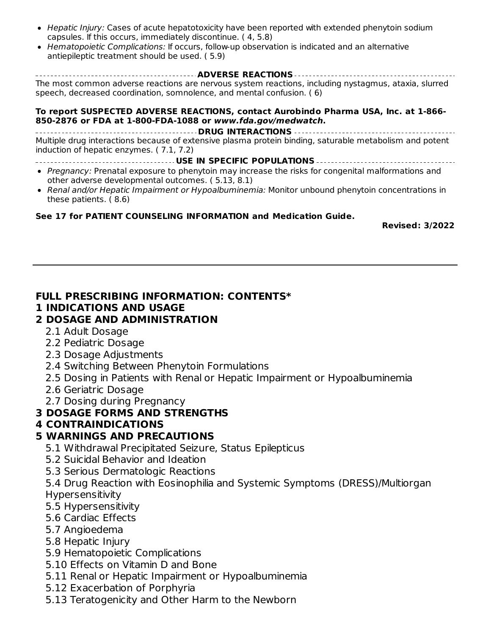- Hepatic Injury: Cases of acute hepatotoxicity have been reported with extended phenytoin sodium capsules. If this occurs, immediately discontinue. ( 4, 5.8)
- Hematopoietic Complications: If occurs, follow-up observation is indicated and an alternative antiepileptic treatment should be used. ( 5.9)

**ADVERSE REACTIONS** The most common adverse reactions are nervous system reactions, including nystagmus, ataxia, slurred speech, decreased coordination, somnolence, and mental confusion. ( 6)

#### **To report SUSPECTED ADVERSE REACTIONS, contact Aurobindo Pharma USA, Inc. at 1-866- 850-2876 or FDA at 1-800-FDA-1088 or www.fda.gov/medwatch.**

**DRUG INTERACTIONS** Multiple drug interactions because of extensive plasma protein binding, saturable metabolism and potent induction of hepatic enzymes. ( 7.1, 7.2)

- **USE IN SPECIFIC POPULATIONS**
- Pregnancy: Prenatal exposure to phenytoin may increase the risks for congenital malformations and other adverse developmental outcomes. ( 5.13, 8.1)
- Renal and/or Hepatic Impairment or Hypoalbuminemia: Monitor unbound phenytoin concentrations in these patients. ( 8.6)

#### **See 17 for PATIENT COUNSELING INFORMATION and Medication Guide.**

**Revised: 3/2022**

#### **FULL PRESCRIBING INFORMATION: CONTENTS\***

#### **1 INDICATIONS AND USAGE**

#### **2 DOSAGE AND ADMINISTRATION**

- 2.1 Adult Dosage
- 2.2 Pediatric Dosage
- 2.3 Dosage Adjustments
- 2.4 Switching Between Phenytoin Formulations
- 2.5 Dosing in Patients with Renal or Hepatic Impairment or Hypoalbuminemia
- 2.6 Geriatric Dosage
- 2.7 Dosing during Pregnancy

#### **3 DOSAGE FORMS AND STRENGTHS**

#### **4 CONTRAINDICATIONS**

#### **5 WARNINGS AND PRECAUTIONS**

- 5.1 Withdrawal Precipitated Seizure, Status Epilepticus
- 5.2 Suicidal Behavior and Ideation
- 5.3 Serious Dermatologic Reactions

5.4 Drug Reaction with Eosinophilia and Systemic Symptoms (DRESS)/Multiorgan Hypersensitivity

- 5.5 Hypersensitivity
- 5.6 Cardiac Effects
- 5.7 Angioedema
- 5.8 Hepatic Injury
- 5.9 Hematopoietic Complications
- 5.10 Effects on Vitamin D and Bone
- 5.11 Renal or Hepatic Impairment or Hypoalbuminemia
- 5.12 Exacerbation of Porphyria
- 5.13 Teratogenicity and Other Harm to the Newborn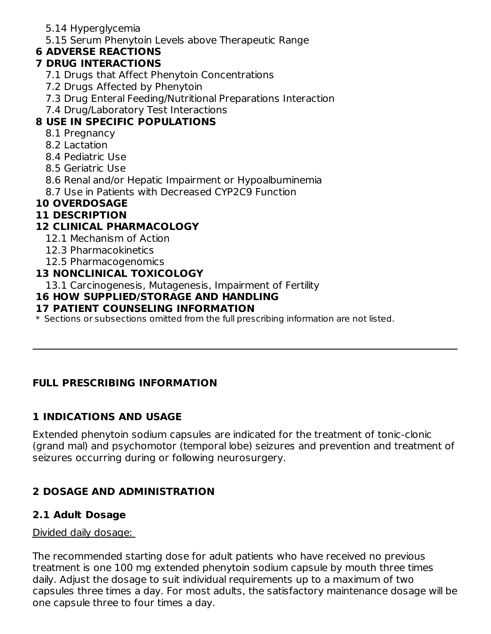- 5.14 Hyperglycemia
- 5.15 Serum Phenytoin Levels above Therapeutic Range

## **6 ADVERSE REACTIONS**

## **7 DRUG INTERACTIONS**

- 7.1 Drugs that Affect Phenytoin Concentrations
- 7.2 Drugs Affected by Phenytoin
- 7.3 Drug Enteral Feeding/Nutritional Preparations Interaction
- 7.4 Drug/Laboratory Test Interactions

## **8 USE IN SPECIFIC POPULATIONS**

- 8.1 Pregnancy
- 8.2 Lactation
- 8.4 Pediatric Use
- 8.5 Geriatric Use
- 8.6 Renal and/or Hepatic Impairment or Hypoalbuminemia
- 8.7 Use in Patients with Decreased CYP2C9 Function

## **10 OVERDOSAGE**

## **11 DESCRIPTION**

## **12 CLINICAL PHARMACOLOGY**

- 12.1 Mechanism of Action
- 12.3 Pharmacokinetics
- 12.5 Pharmacogenomics

## **13 NONCLINICAL TOXICOLOGY**

13.1 Carcinogenesis, Mutagenesis, Impairment of Fertility

### **16 HOW SUPPLIED/STORAGE AND HANDLING**

### **17 PATIENT COUNSELING INFORMATION**

 $\ast$  Sections or subsections omitted from the full prescribing information are not listed.

## **FULL PRESCRIBING INFORMATION**

## **1 INDICATIONS AND USAGE**

Extended phenytoin sodium capsules are indicated for the treatment of tonic-clonic (grand mal) and psychomotor (temporal lobe) seizures and prevention and treatment of seizures occurring during or following neurosurgery.

# **2 DOSAGE AND ADMINISTRATION**

## **2.1 Adult Dosage**

#### Divided daily dosage:

The recommended starting dose for adult patients who have received no previous treatment is one 100 mg extended phenytoin sodium capsule by mouth three times daily. Adjust the dosage to suit individual requirements up to a maximum of two capsules three times a day. For most adults, the satisfactory maintenance dosage will be one capsule three to four times a day.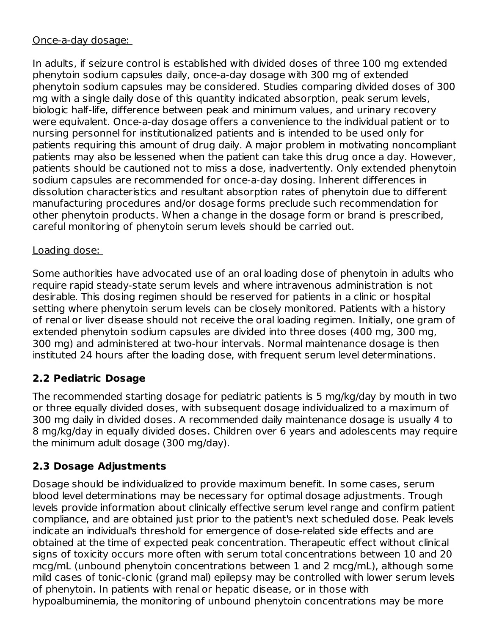#### Once-a-day dosage:

In adults, if seizure control is established with divided doses of three 100 mg extended phenytoin sodium capsules daily, once-a-day dosage with 300 mg of extended phenytoin sodium capsules may be considered. Studies comparing divided doses of 300 mg with a single daily dose of this quantity indicated absorption, peak serum levels, biologic half-life, difference between peak and minimum values, and urinary recovery were equivalent. Once-a-day dosage offers a convenience to the individual patient or to nursing personnel for institutionalized patients and is intended to be used only for patients requiring this amount of drug daily. A major problem in motivating noncompliant patients may also be lessened when the patient can take this drug once a day. However, patients should be cautioned not to miss a dose, inadvertently. Only extended phenytoin sodium capsules are recommended for once-a-day dosing. Inherent differences in dissolution characteristics and resultant absorption rates of phenytoin due to different manufacturing procedures and/or dosage forms preclude such recommendation for other phenytoin products. When a change in the dosage form or brand is prescribed, careful monitoring of phenytoin serum levels should be carried out.

### Loading dose:

Some authorities have advocated use of an oral loading dose of phenytoin in adults who require rapid steady-state serum levels and where intravenous administration is not desirable. This dosing regimen should be reserved for patients in a clinic or hospital setting where phenytoin serum levels can be closely monitored. Patients with a history of renal or liver disease should not receive the oral loading regimen. Initially, one gram of extended phenytoin sodium capsules are divided into three doses (400 mg, 300 mg, 300 mg) and administered at two-hour intervals. Normal maintenance dosage is then instituted 24 hours after the loading dose, with frequent serum level determinations.

## **2.2 Pediatric Dosage**

The recommended starting dosage for pediatric patients is 5 mg/kg/day by mouth in two or three equally divided doses, with subsequent dosage individualized to a maximum of 300 mg daily in divided doses. A recommended daily maintenance dosage is usually 4 to 8 mg/kg/day in equally divided doses. Children over 6 years and adolescents may require the minimum adult dosage (300 mg/day).

## **2.3 Dosage Adjustments**

Dosage should be individualized to provide maximum benefit. In some cases, serum blood level determinations may be necessary for optimal dosage adjustments. Trough levels provide information about clinically effective serum level range and confirm patient compliance, and are obtained just prior to the patient's next scheduled dose. Peak levels indicate an individual's threshold for emergence of dose-related side effects and are obtained at the time of expected peak concentration. Therapeutic effect without clinical signs of toxicity occurs more often with serum total concentrations between 10 and 20 mcg/mL (unbound phenytoin concentrations between 1 and 2 mcg/mL), although some mild cases of tonic-clonic (grand mal) epilepsy may be controlled with lower serum levels of phenytoin. In patients with renal or hepatic disease, or in those with hypoalbuminemia, the monitoring of unbound phenytoin concentrations may be more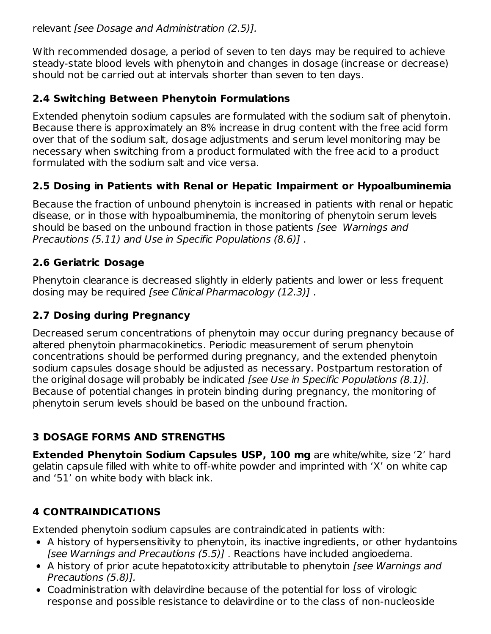relevant [see Dosage and Administration (2.5)].

With recommended dosage, a period of seven to ten days may be required to achieve steady-state blood levels with phenytoin and changes in dosage (increase or decrease) should not be carried out at intervals shorter than seven to ten days.

## **2.4 Switching Between Phenytoin Formulations**

Extended phenytoin sodium capsules are formulated with the sodium salt of phenytoin. Because there is approximately an 8% increase in drug content with the free acid form over that of the sodium salt, dosage adjustments and serum level monitoring may be necessary when switching from a product formulated with the free acid to a product formulated with the sodium salt and vice versa.

## **2.5 Dosing in Patients with Renal or Hepatic Impairment or Hypoalbuminemia**

Because the fraction of unbound phenytoin is increased in patients with renal or hepatic disease, or in those with hypoalbuminemia, the monitoring of phenytoin serum levels should be based on the unbound fraction in those patients [see Warnings and Precautions (5.11) and Use in Specific Populations (8.6)] .

## **2.6 Geriatric Dosage**

Phenytoin clearance is decreased slightly in elderly patients and lower or less frequent dosing may be required [see Clinical Pharmacology (12.3)] .

## **2.7 Dosing during Pregnancy**

Decreased serum concentrations of phenytoin may occur during pregnancy because of altered phenytoin pharmacokinetics. Periodic measurement of serum phenytoin concentrations should be performed during pregnancy, and the extended phenytoin sodium capsules dosage should be adjusted as necessary. Postpartum restoration of the original dosage will probably be indicated *[see Use in Specific Populations (8.1)]*. Because of potential changes in protein binding during pregnancy, the monitoring of phenytoin serum levels should be based on the unbound fraction.

## **3 DOSAGE FORMS AND STRENGTHS**

**Extended Phenytoin Sodium Capsules USP, 100 mg** are white/white, size '2' hard gelatin capsule filled with white to off-white powder and imprinted with 'X' on white cap and '51' on white body with black ink.

## **4 CONTRAINDICATIONS**

Extended phenytoin sodium capsules are contraindicated in patients with:

- A history of hypersensitivity to phenytoin, its inactive ingredients, or other hydantoins [see Warnings and Precautions (5.5)] . Reactions have included angioedema.
- A history of prior acute hepatotoxicity attributable to phenytoin *[see Warnings and* Precautions (5.8)].
- Coadministration with delavirdine because of the potential for loss of virologic response and possible resistance to delavirdine or to the class of non-nucleoside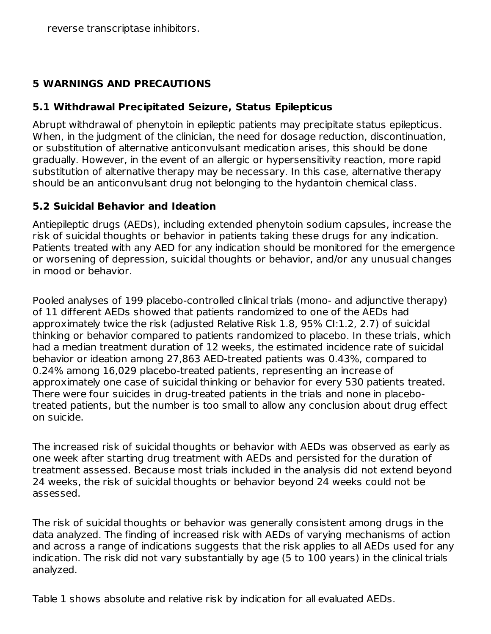reverse transcriptase inhibitors.

### **5 WARNINGS AND PRECAUTIONS**

#### **5.1 Withdrawal Precipitated Seizure, Status Epilepticus**

Abrupt withdrawal of phenytoin in epileptic patients may precipitate status epilepticus. When, in the judgment of the clinician, the need for dosage reduction, discontinuation, or substitution of alternative anticonvulsant medication arises, this should be done gradually. However, in the event of an allergic or hypersensitivity reaction, more rapid substitution of alternative therapy may be necessary. In this case, alternative therapy should be an anticonvulsant drug not belonging to the hydantoin chemical class.

#### **5.2 Suicidal Behavior and Ideation**

Antiepileptic drugs (AEDs), including extended phenytoin sodium capsules, increase the risk of suicidal thoughts or behavior in patients taking these drugs for any indication. Patients treated with any AED for any indication should be monitored for the emergence or worsening of depression, suicidal thoughts or behavior, and/or any unusual changes in mood or behavior.

Pooled analyses of 199 placebo-controlled clinical trials (mono- and adjunctive therapy) of 11 different AEDs showed that patients randomized to one of the AEDs had approximately twice the risk (adjusted Relative Risk 1.8, 95% CI:1.2, 2.7) of suicidal thinking or behavior compared to patients randomized to placebo. In these trials, which had a median treatment duration of 12 weeks, the estimated incidence rate of suicidal behavior or ideation among 27,863 AED-treated patients was 0.43%, compared to 0.24% among 16,029 placebo-treated patients, representing an increase of approximately one case of suicidal thinking or behavior for every 530 patients treated. There were four suicides in drug-treated patients in the trials and none in placebotreated patients, but the number is too small to allow any conclusion about drug effect on suicide.

The increased risk of suicidal thoughts or behavior with AEDs was observed as early as one week after starting drug treatment with AEDs and persisted for the duration of treatment assessed. Because most trials included in the analysis did not extend beyond 24 weeks, the risk of suicidal thoughts or behavior beyond 24 weeks could not be assessed.

The risk of suicidal thoughts or behavior was generally consistent among drugs in the data analyzed. The finding of increased risk with AEDs of varying mechanisms of action and across a range of indications suggests that the risk applies to all AEDs used for any indication. The risk did not vary substantially by age (5 to 100 years) in the clinical trials analyzed.

Table 1 shows absolute and relative risk by indication for all evaluated AEDs.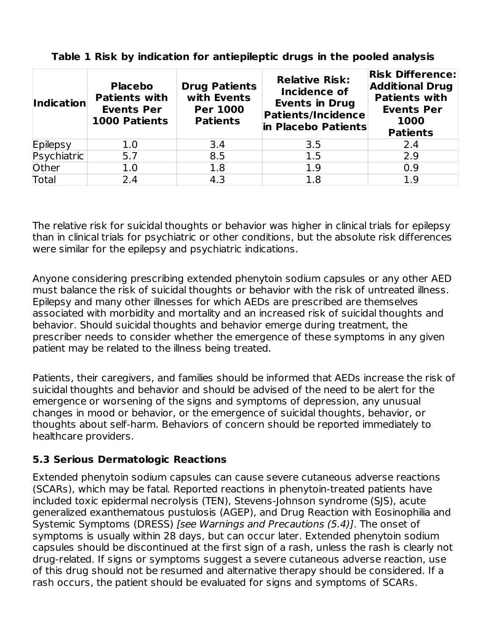| <b>Indication</b> | <b>Placebo</b><br><b>Patients with</b><br><b>Events Per</b><br><b>1000 Patients</b> | <b>Drug Patients</b><br>with Events<br><b>Per 1000</b><br><b>Patients</b> | <b>Relative Risk:</b><br><b>Incidence of</b><br><b>Events in Drug</b><br><b>Patients/Incidence</b><br>in Placebo Patients | <b>Risk Difference:</b><br><b>Additional Drug</b><br><b>Patients with</b><br><b>Events Per</b><br>1000<br><b>Patients</b> |
|-------------------|-------------------------------------------------------------------------------------|---------------------------------------------------------------------------|---------------------------------------------------------------------------------------------------------------------------|---------------------------------------------------------------------------------------------------------------------------|
| Epilepsy          | 1.0                                                                                 | 3.4                                                                       | 3.5                                                                                                                       | 2.4                                                                                                                       |
| Psychiatric       | 5.7                                                                                 | 8.5                                                                       | 1.5                                                                                                                       | 2.9                                                                                                                       |
| Other             | 1.0                                                                                 | 1.8                                                                       | 1.9                                                                                                                       | 0.9                                                                                                                       |
| <b>Total</b>      | 2.4                                                                                 | 4.3                                                                       | 1.8                                                                                                                       | 1.9                                                                                                                       |

**Table 1 Risk by indication for antiepileptic drugs in the pooled analysis**

The relative risk for suicidal thoughts or behavior was higher in clinical trials for epilepsy than in clinical trials for psychiatric or other conditions, but the absolute risk differences were similar for the epilepsy and psychiatric indications.

Anyone considering prescribing extended phenytoin sodium capsules or any other AED must balance the risk of suicidal thoughts or behavior with the risk of untreated illness. Epilepsy and many other illnesses for which AEDs are prescribed are themselves associated with morbidity and mortality and an increased risk of suicidal thoughts and behavior. Should suicidal thoughts and behavior emerge during treatment, the prescriber needs to consider whether the emergence of these symptoms in any given patient may be related to the illness being treated.

Patients, their caregivers, and families should be informed that AEDs increase the risk of suicidal thoughts and behavior and should be advised of the need to be alert for the emergence or worsening of the signs and symptoms of depression, any unusual changes in mood or behavior, or the emergence of suicidal thoughts, behavior, or thoughts about self-harm. Behaviors of concern should be reported immediately to healthcare providers.

## **5.3 Serious Dermatologic Reactions**

Extended phenytoin sodium capsules can cause severe cutaneous adverse reactions (SCARs), which may be fatal. Reported reactions in phenytoin-treated patients have included toxic epidermal necrolysis (TEN), Stevens-Johnson syndrome (SJS), acute generalized exanthematous pustulosis (AGEP), and Drug Reaction with Eosinophilia and Systemic Symptoms (DRESS) [see Warnings and Precautions (5.4)]. The onset of symptoms is usually within 28 days, but can occur later. Extended phenytoin sodium capsules should be discontinued at the first sign of a rash, unless the rash is clearly not drug-related. If signs or symptoms suggest a severe cutaneous adverse reaction, use of this drug should not be resumed and alternative therapy should be considered. If a rash occurs, the patient should be evaluated for signs and symptoms of SCARs.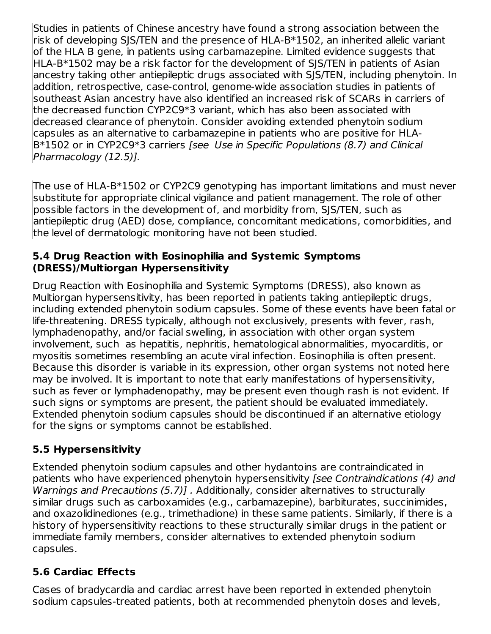Studies in patients of Chinese ancestry have found a strong association between the risk of developing SJS/TEN and the presence of HLA-B\*1502, an inherited allelic variant of the HLA B gene, in patients using carbamazepine. Limited evidence suggests that HLA-B\*1502 may be a risk factor for the development of SJS/TEN in patients of Asian ancestry taking other antiepileptic drugs associated with SJS/TEN, including phenytoin. In addition, retrospective, case-control, genome-wide association studies in patients of southeast Asian ancestry have also identified an increased risk of SCARs in carriers of the decreased function CYP2C9\*3 variant, which has also been associated with decreased clearance of phenytoin. Consider avoiding extended phenytoin sodium capsules as an alternative to carbamazepine in patients who are positive for HLA-B\*1502 or in CYP2C9\*3 carriers [see Use in Specific Populations (8.7) and Clinical Pharmacology (12.5)].

The use of HLA-B\*1502 or CYP2C9 genotyping has important limitations and must never substitute for appropriate clinical vigilance and patient management. The role of other possible factors in the development of, and morbidity from, SJS/TEN, such as antiepileptic drug (AED) dose, compliance, concomitant medications, comorbidities, and the level of dermatologic monitoring have not been studied.

#### **5.4 Drug Reaction with Eosinophilia and Systemic Symptoms (DRESS)/Multiorgan Hypersensitivity**

Drug Reaction with Eosinophilia and Systemic Symptoms (DRESS), also known as Multiorgan hypersensitivity, has been reported in patients taking antiepileptic drugs, including extended phenytoin sodium capsules. Some of these events have been fatal or life-threatening. DRESS typically, although not exclusively, presents with fever, rash, lymphadenopathy, and/or facial swelling, in association with other organ system involvement, such as hepatitis, nephritis, hematological abnormalities, myocarditis, or myositis sometimes resembling an acute viral infection. Eosinophilia is often present. Because this disorder is variable in its expression, other organ systems not noted here may be involved. It is important to note that early manifestations of hypersensitivity, such as fever or lymphadenopathy, may be present even though rash is not evident. If such signs or symptoms are present, the patient should be evaluated immediately. Extended phenytoin sodium capsules should be discontinued if an alternative etiology for the signs or symptoms cannot be established.

## **5.5 Hypersensitivity**

Extended phenytoin sodium capsules and other hydantoins are contraindicated in patients who have experienced phenytoin hypersensitivity [see Contraindications (4) and Warnings and Precautions (5.7)]. Additionally, consider alternatives to structurally similar drugs such as carboxamides (e.g., carbamazepine), barbiturates, succinimides, and oxazolidinediones (e.g., trimethadione) in these same patients. Similarly, if there is a history of hypersensitivity reactions to these structurally similar drugs in the patient or immediate family members, consider alternatives to extended phenytoin sodium capsules.

## **5.6 Cardiac Effects**

Cases of bradycardia and cardiac arrest have been reported in extended phenytoin sodium capsules-treated patients, both at recommended phenytoin doses and levels,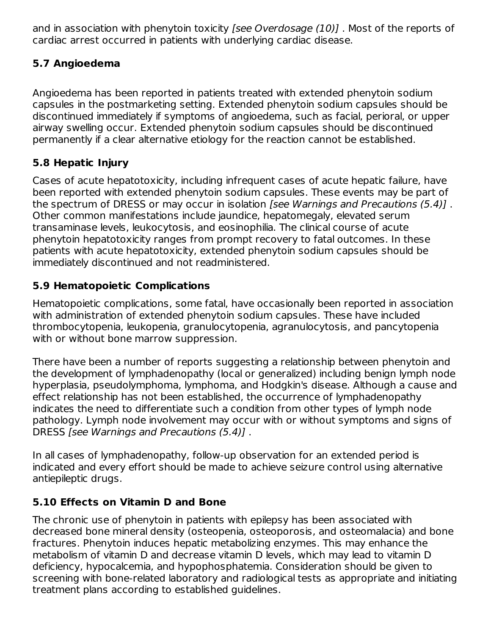and in association with phenytoin toxicity *[see Overdosage (10)]*. Most of the reports of cardiac arrest occurred in patients with underlying cardiac disease.

## **5.7 Angioedema**

Angioedema has been reported in patients treated with extended phenytoin sodium capsules in the postmarketing setting. Extended phenytoin sodium capsules should be discontinued immediately if symptoms of angioedema, such as facial, perioral, or upper airway swelling occur. Extended phenytoin sodium capsules should be discontinued permanently if a clear alternative etiology for the reaction cannot be established.

## **5.8 Hepatic Injury**

Cases of acute hepatotoxicity, including infrequent cases of acute hepatic failure, have been reported with extended phenytoin sodium capsules. These events may be part of the spectrum of DRESS or may occur in isolation [see Warnings and Precautions (5.4)]. Other common manifestations include jaundice, hepatomegaly, elevated serum transaminase levels, leukocytosis, and eosinophilia. The clinical course of acute phenytoin hepatotoxicity ranges from prompt recovery to fatal outcomes. In these patients with acute hepatotoxicity, extended phenytoin sodium capsules should be immediately discontinued and not readministered.

## **5.9 Hematopoietic Complications**

Hematopoietic complications, some fatal, have occasionally been reported in association with administration of extended phenytoin sodium capsules. These have included thrombocytopenia, leukopenia, granulocytopenia, agranulocytosis, and pancytopenia with or without bone marrow suppression.

There have been a number of reports suggesting a relationship between phenytoin and the development of lymphadenopathy (local or generalized) including benign lymph node hyperplasia, pseudolymphoma, lymphoma, and Hodgkin's disease. Although a cause and effect relationship has not been established, the occurrence of lymphadenopathy indicates the need to differentiate such a condition from other types of lymph node pathology. Lymph node involvement may occur with or without symptoms and signs of DRESS [see Warnings and Precautions (5.4)] .

In all cases of lymphadenopathy, follow-up observation for an extended period is indicated and every effort should be made to achieve seizure control using alternative antiepileptic drugs.

## **5.10 Effects on Vitamin D and Bone**

The chronic use of phenytoin in patients with epilepsy has been associated with decreased bone mineral density (osteopenia, osteoporosis, and osteomalacia) and bone fractures. Phenytoin induces hepatic metabolizing enzymes. This may enhance the metabolism of vitamin D and decrease vitamin D levels, which may lead to vitamin D deficiency, hypocalcemia, and hypophosphatemia. Consideration should be given to screening with bone-related laboratory and radiological tests as appropriate and initiating treatment plans according to established guidelines.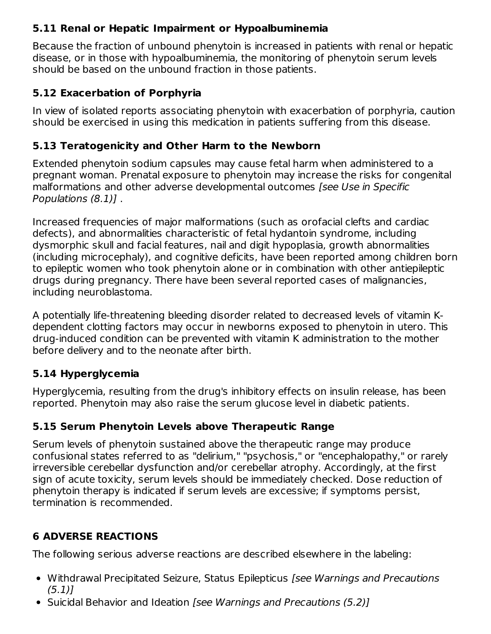## **5.11 Renal or Hepatic Impairment or Hypoalbuminemia**

Because the fraction of unbound phenytoin is increased in patients with renal or hepatic disease, or in those with hypoalbuminemia, the monitoring of phenytoin serum levels should be based on the unbound fraction in those patients.

## **5.12 Exacerbation of Porphyria**

In view of isolated reports associating phenytoin with exacerbation of porphyria, caution should be exercised in using this medication in patients suffering from this disease.

## **5.13 Teratogenicity and Other Harm to the Newborn**

Extended phenytoin sodium capsules may cause fetal harm when administered to a pregnant woman. Prenatal exposure to phenytoin may increase the risks for congenital malformations and other adverse developmental outcomes [see Use in Specific Populations (8.1)] .

Increased frequencies of major malformations (such as orofacial clefts and cardiac defects), and abnormalities characteristic of fetal hydantoin syndrome, including dysmorphic skull and facial features, nail and digit hypoplasia, growth abnormalities (including microcephaly), and cognitive deficits, have been reported among children born to epileptic women who took phenytoin alone or in combination with other antiepileptic drugs during pregnancy. There have been several reported cases of malignancies, including neuroblastoma.

A potentially life-threatening bleeding disorder related to decreased levels of vitamin Kdependent clotting factors may occur in newborns exposed to phenytoin in utero. This drug-induced condition can be prevented with vitamin K administration to the mother before delivery and to the neonate after birth.

## **5.14 Hyperglycemia**

Hyperglycemia, resulting from the drug's inhibitory effects on insulin release, has been reported. Phenytoin may also raise the serum glucose level in diabetic patients.

## **5.15 Serum Phenytoin Levels above Therapeutic Range**

Serum levels of phenytoin sustained above the therapeutic range may produce confusional states referred to as "delirium," "psychosis," or "encephalopathy," or rarely irreversible cerebellar dysfunction and/or cerebellar atrophy. Accordingly, at the first sign of acute toxicity, serum levels should be immediately checked. Dose reduction of phenytoin therapy is indicated if serum levels are excessive; if symptoms persist, termination is recommended.

## **6 ADVERSE REACTIONS**

The following serious adverse reactions are described elsewhere in the labeling:

- Withdrawal Precipitated Seizure, Status Epilepticus [see Warnings and Precautions  $(5.1)$ ]
- Suicidal Behavior and Ideation [see Warnings and Precautions (5.2)]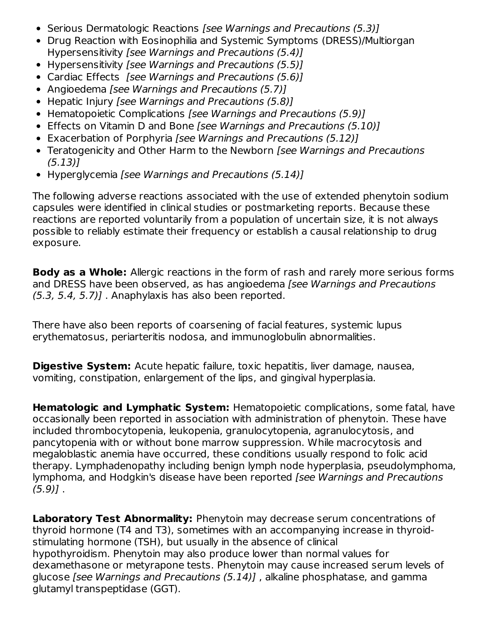- Serious Dermatologic Reactions [see Warnings and Precautions (5.3)]
- Drug Reaction with Eosinophilia and Systemic Symptoms (DRESS)/Multiorgan Hypersensitivity [see Warnings and Precautions (5.4)]
- Hypersensitivity [see Warnings and Precautions (5.5)]
- Cardiac Effects [see Warnings and Precautions (5.6)]
- Angioedema [see Warnings and Precautions (5.7)]
- Hepatic Injury *[see Warnings and Precautions (5.8)]*
- Hematopoietic Complications [see Warnings and Precautions (5.9)]
- Effects on Vitamin D and Bone [see Warnings and Precautions (5.10)]
- Exacerbation of Porphyria [see Warnings and Precautions (5.12)]
- Teratogenicity and Other Harm to the Newborn [see Warnings and Precautions (5.13)]
- Hyperglycemia [see Warnings and Precautions (5.14)]

The following adverse reactions associated with the use of extended phenytoin sodium capsules were identified in clinical studies or postmarketing reports. Because these reactions are reported voluntarily from a population of uncertain size, it is not always possible to reliably estimate their frequency or establish a causal relationship to drug exposure.

**Body as a Whole:** Allergic reactions in the form of rash and rarely more serious forms and DRESS have been observed, as has angioedema [see Warnings and Precautions  $(5.3, 5.4, 5.7)$ ]. Anaphylaxis has also been reported.

There have also been reports of coarsening of facial features, systemic lupus erythematosus, periarteritis nodosa, and immunoglobulin abnormalities.

**Digestive System:** Acute hepatic failure, toxic hepatitis, liver damage, nausea, vomiting, constipation, enlargement of the lips, and gingival hyperplasia.

**Hematologic and Lymphatic System:** Hematopoietic complications, some fatal, have occasionally been reported in association with administration of phenytoin. These have included thrombocytopenia, leukopenia, granulocytopenia, agranulocytosis, and pancytopenia with or without bone marrow suppression. While macrocytosis and megaloblastic anemia have occurred, these conditions usually respond to folic acid therapy. Lymphadenopathy including benign lymph node hyperplasia, pseudolymphoma, lymphoma, and Hodgkin's disease have been reported [see Warnings and Precautions  $(5.9)$ ].

**Laboratory Test Abnormality:** Phenytoin may decrease serum concentrations of thyroid hormone (T4 and T3), sometimes with an accompanying increase in thyroidstimulating hormone (TSH), but usually in the absence of clinical hypothyroidism. Phenytoin may also produce lower than normal values for dexamethasone or metyrapone tests. Phenytoin may cause increased serum levels of glucose [see Warnings and Precautions (5.14)] , alkaline phosphatase, and gamma glutamyl transpeptidase (GGT).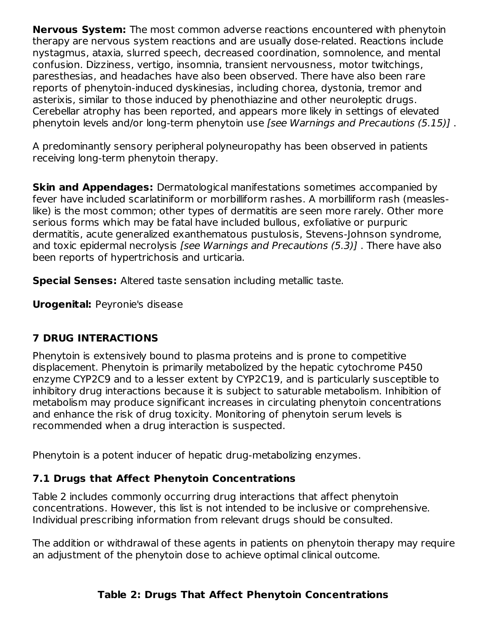**Nervous System:** The most common adverse reactions encountered with phenytoin therapy are nervous system reactions and are usually dose-related. Reactions include nystagmus, ataxia, slurred speech, decreased coordination, somnolence, and mental confusion. Dizziness, vertigo, insomnia, transient nervousness, motor twitchings, paresthesias, and headaches have also been observed. There have also been rare reports of phenytoin-induced dyskinesias, including chorea, dystonia, tremor and asterixis, similar to those induced by phenothiazine and other neuroleptic drugs. Cerebellar atrophy has been reported, and appears more likely in settings of elevated phenytoin levels and/or long-term phenytoin use [see Warnings and Precautions (5.15)] .

A predominantly sensory peripheral polyneuropathy has been observed in patients receiving long-term phenytoin therapy.

**Skin and Appendages:** Dermatological manifestations sometimes accompanied by fever have included scarlatiniform or morbilliform rashes. A morbilliform rash (measleslike) is the most common; other types of dermatitis are seen more rarely. Other more serious forms which may be fatal have included bullous, exfoliative or purpuric dermatitis, acute generalized exanthematous pustulosis, Stevens-Johnson syndrome, and toxic epidermal necrolysis [see Warnings and Precautions (5.3)] . There have also been reports of hypertrichosis and urticaria.

**Special Senses:** Altered taste sensation including metallic taste.

**Urogenital:** Peyronie's disease

## **7 DRUG INTERACTIONS**

Phenytoin is extensively bound to plasma proteins and is prone to competitive displacement. Phenytoin is primarily metabolized by the hepatic cytochrome P450 enzyme CYP2C9 and to a lesser extent by CYP2C19, and is particularly susceptible to inhibitory drug interactions because it is subject to saturable metabolism. Inhibition of metabolism may produce significant increases in circulating phenytoin concentrations and enhance the risk of drug toxicity. Monitoring of phenytoin serum levels is recommended when a drug interaction is suspected.

Phenytoin is a potent inducer of hepatic drug-metabolizing enzymes.

# **7.1 Drugs that Affect Phenytoin Concentrations**

Table 2 includes commonly occurring drug interactions that affect phenytoin concentrations. However, this list is not intended to be inclusive or comprehensive. Individual prescribing information from relevant drugs should be consulted.

The addition or withdrawal of these agents in patients on phenytoin therapy may require an adjustment of the phenytoin dose to achieve optimal clinical outcome.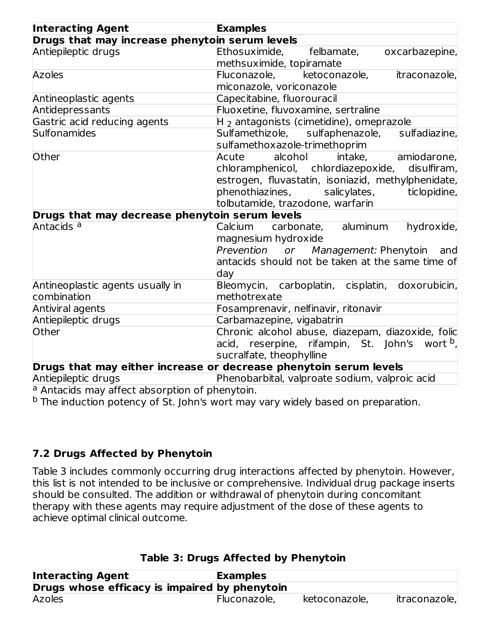| <b>Interacting Agent</b>                       | <b>Examples</b>                                                   |  |  |  |  |  |
|------------------------------------------------|-------------------------------------------------------------------|--|--|--|--|--|
| Drugs that may increase phenytoin serum levels |                                                                   |  |  |  |  |  |
| Antiepileptic drugs                            | Ethosuximide,<br>felbamate,<br>oxcarbazepine,                     |  |  |  |  |  |
|                                                | methsuximide, topiramate                                          |  |  |  |  |  |
| <b>Azoles</b>                                  | Fluconazole,<br>ketoconazole,<br>itraconazole,                    |  |  |  |  |  |
|                                                | miconazole, voriconazole                                          |  |  |  |  |  |
| Antineoplastic agents                          | Capecitabine, fluorouracil                                        |  |  |  |  |  |
| Antidepressants                                | Fluoxetine, fluvoxamine, sertraline                               |  |  |  |  |  |
| Gastric acid reducing agents                   | $H2$ antagonists (cimetidine), omeprazole                         |  |  |  |  |  |
| Sulfonamides                                   | Sulfamethizole, sulfaphenazole,<br>sulfadiazine,                  |  |  |  |  |  |
|                                                | sulfamethoxazole-trimethoprim                                     |  |  |  |  |  |
| Other                                          | alcohol<br>Acute<br>intake,<br>amiodarone,                        |  |  |  |  |  |
|                                                | chloramphenicol, chlordiazepoxide,<br>disulfiram,                 |  |  |  |  |  |
|                                                | estrogen, fluvastatin, isoniazid, methylphenidate,                |  |  |  |  |  |
|                                                | phenothiazines,<br>salicylates,<br>ticlopidine,                   |  |  |  |  |  |
|                                                | tolbutamide, trazodone, warfarin                                  |  |  |  |  |  |
| Drugs that may decrease phenytoin serum levels |                                                                   |  |  |  |  |  |
| Antacids <sup>a</sup>                          | Calcium<br>carbonate, aluminum<br>hydroxide,                      |  |  |  |  |  |
|                                                | magnesium hydroxide                                               |  |  |  |  |  |
|                                                | Prevention or Management: Phenytoin<br>and                        |  |  |  |  |  |
|                                                | antacids should not be taken at the same time of                  |  |  |  |  |  |
|                                                | day                                                               |  |  |  |  |  |
| Antineoplastic agents usually in               | Bleomycin, carboplatin, cisplatin, doxorubicin,                   |  |  |  |  |  |
| combination                                    | methotrexate                                                      |  |  |  |  |  |
| Antiviral agents                               | Fosamprenavir, nelfinavir, ritonavir                              |  |  |  |  |  |
| Antiepileptic drugs                            | Carbamazepine, vigabatrin                                         |  |  |  |  |  |
| Other                                          | Chronic alcohol abuse, diazepam, diazoxide, folic                 |  |  |  |  |  |
|                                                | acid, reserpine, rifampin, St. John's wort <sup>b</sup> ,         |  |  |  |  |  |
|                                                | sucralfate, theophylline                                          |  |  |  |  |  |
|                                                | Drugs that may either increase or decrease phenytoin serum levels |  |  |  |  |  |
| Antiepileptic drugs                            | Phenobarbital, valproate sodium, valproic acid                    |  |  |  |  |  |

<sup>a</sup> Antacids may affect absorption of phenytoin.

<sup>b</sup> The induction potency of St. John's wort may vary widely based on preparation.

## **7.2 Drugs Affected by Phenytoin**

Table 3 includes commonly occurring drug interactions affected by phenytoin. However, this list is not intended to be inclusive or comprehensive. Individual drug package inserts should be consulted. The addition or withdrawal of phenytoin during concomitant therapy with these agents may require adjustment of the dose of these agents to achieve optimal clinical outcome.

| <b>Interacting Agent</b>                      | <b>Examples</b> |               |               |  |  |  |  |
|-----------------------------------------------|-----------------|---------------|---------------|--|--|--|--|
| Drugs whose efficacy is impaired by phenytoin |                 |               |               |  |  |  |  |
| <b>Azoles</b>                                 | Fluconazole,    | ketoconazole, | itraconazole, |  |  |  |  |

## **Table 3: Drugs Affected by Phenytoin**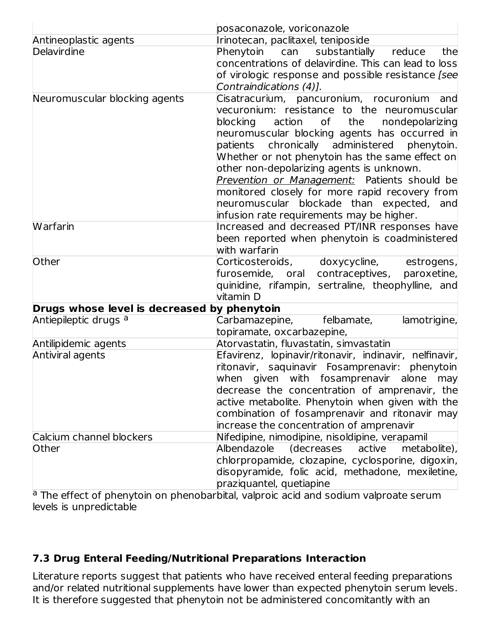|                                             | posaconazole, voriconazole                                                                                                                                                                                                                                                                                                                                                                                                                                                                                                             |  |  |  |  |
|---------------------------------------------|----------------------------------------------------------------------------------------------------------------------------------------------------------------------------------------------------------------------------------------------------------------------------------------------------------------------------------------------------------------------------------------------------------------------------------------------------------------------------------------------------------------------------------------|--|--|--|--|
| Antineoplastic agents                       | Irinotecan, paclitaxel, teniposide                                                                                                                                                                                                                                                                                                                                                                                                                                                                                                     |  |  |  |  |
| Delavirdine                                 | Phenytoin can<br>substantially<br>reduce<br>the<br>concentrations of delavirdine. This can lead to loss<br>of virologic response and possible resistance [see<br>Contraindications (4)].                                                                                                                                                                                                                                                                                                                                               |  |  |  |  |
| Neuromuscular blocking agents               | Cisatracurium, pancuronium, rocuronium<br>and<br>vecuronium: resistance to the neuromuscular<br>blocking action of the<br>nondepolarizing<br>neuromuscular blocking agents has occurred in<br>patients chronically administered phenytoin.<br>Whether or not phenytoin has the same effect on<br>other non-depolarizing agents is unknown.<br>Prevention or Management: Patients should be<br>monitored closely for more rapid recovery from<br>neuromuscular blockade than expected, and<br>infusion rate requirements may be higher. |  |  |  |  |
| <b>Warfarin</b>                             | Increased and decreased PT/INR responses have<br>been reported when phenytoin is coadministered<br>with warfarin                                                                                                                                                                                                                                                                                                                                                                                                                       |  |  |  |  |
| Other                                       | Corticosteroids, doxycycline,<br>estrogens,<br>furosemide, oral contraceptives,<br>paroxetine,<br>quinidine, rifampin, sertraline, theophylline, and<br>vitamin D                                                                                                                                                                                                                                                                                                                                                                      |  |  |  |  |
| Drugs whose level is decreased by phenytoin |                                                                                                                                                                                                                                                                                                                                                                                                                                                                                                                                        |  |  |  |  |
| Antiepileptic drugs <sup>a</sup>            | Carbamazepine, felbamate,<br>lamotrigine,<br>topiramate, oxcarbazepine,                                                                                                                                                                                                                                                                                                                                                                                                                                                                |  |  |  |  |
| Antilipidemic agents                        | Atorvastatin, fluvastatin, simvastatin                                                                                                                                                                                                                                                                                                                                                                                                                                                                                                 |  |  |  |  |
| Antiviral agents                            | Efavirenz, lopinavir/ritonavir, indinavir, nelfinavir,<br>ritonavir, saquinavir Fosamprenavir: phenytoin<br>when given with fosamprenavir alone may<br>decrease the concentration of amprenavir, the<br>active metabolite. Phenytoin when given with the<br>combination of fosamprenavir and ritonavir may<br>increase the concentration of amprenavir                                                                                                                                                                                 |  |  |  |  |
| Calcium channel blockers<br>Other           | Nifedipine, nimodipine, nisoldipine, verapamil<br>Albendazole<br><i>(decreases</i><br>active<br>metabolite),<br>chlorpropamide, clozapine, cyclosporine, digoxin,<br>disopyramide, folic acid, methadone, mexiletine,<br>praziquantel, quetiapine                                                                                                                                                                                                                                                                                      |  |  |  |  |

<sup>a</sup> The effect of phenytoin on phenobarbital, valproic acid and sodium valproate serum levels is unpredictable

## **7.3 Drug Enteral Feeding/Nutritional Preparations Interaction**

Literature reports suggest that patients who have received enteral feeding preparations and/or related nutritional supplements have lower than expected phenytoin serum levels. It is therefore suggested that phenytoin not be administered concomitantly with an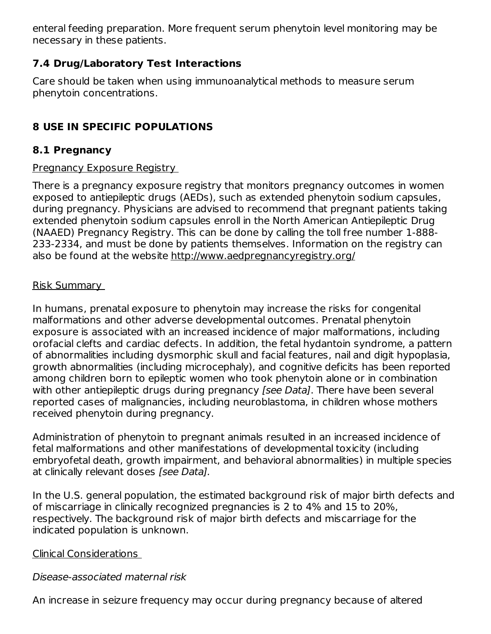enteral feeding preparation. More frequent serum phenytoin level monitoring may be necessary in these patients.

## **7.4 Drug/Laboratory Test Interactions**

Care should be taken when using immunoanalytical methods to measure serum phenytoin concentrations.

# **8 USE IN SPECIFIC POPULATIONS**

## **8.1 Pregnancy**

### Pregnancy Exposure Registry

There is a pregnancy exposure registry that monitors pregnancy outcomes in women exposed to antiepileptic drugs (AEDs), such as extended phenytoin sodium capsules, during pregnancy. Physicians are advised to recommend that pregnant patients taking extended phenytoin sodium capsules enroll in the North American Antiepileptic Drug (NAAED) Pregnancy Registry. This can be done by calling the toll free number 1-888- 233-2334, and must be done by patients themselves. Information on the registry can also be found at the website http://www.aedpregnancyregistry.org/

## Risk Summary

In humans, prenatal exposure to phenytoin may increase the risks for congenital malformations and other adverse developmental outcomes. Prenatal phenytoin exposure is associated with an increased incidence of major malformations, including orofacial clefts and cardiac defects. In addition, the fetal hydantoin syndrome, a pattern of abnormalities including dysmorphic skull and facial features, nail and digit hypoplasia, growth abnormalities (including microcephaly), and cognitive deficits has been reported among children born to epileptic women who took phenytoin alone or in combination with other antiepileptic drugs during pregnancy *[see Data]*. There have been several reported cases of malignancies, including neuroblastoma, in children whose mothers received phenytoin during pregnancy.

Administration of phenytoin to pregnant animals resulted in an increased incidence of fetal malformations and other manifestations of developmental toxicity (including embryofetal death, growth impairment, and behavioral abnormalities) in multiple species at clinically relevant doses [see Data].

In the U.S. general population, the estimated background risk of major birth defects and of miscarriage in clinically recognized pregnancies is 2 to 4% and 15 to 20%, respectively. The background risk of major birth defects and miscarriage for the indicated population is unknown.

## Clinical Considerations

## Disease-associated maternal risk

An increase in seizure frequency may occur during pregnancy because of altered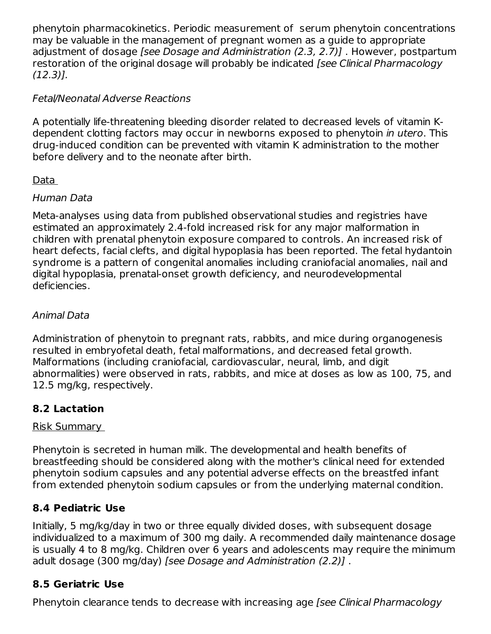phenytoin pharmacokinetics. Periodic measurement of serum phenytoin concentrations may be valuable in the management of pregnant women as a guide to appropriate adjustment of dosage [see Dosage and Administration (2.3, 2.7)] . However, postpartum restoration of the original dosage will probably be indicated *[see Clinical Pharmacology* (12.3)].

## Fetal/Neonatal Adverse Reactions

A potentially life-threatening bleeding disorder related to decreased levels of vitamin Kdependent clotting factors may occur in newborns exposed to phenytoin in utero. This drug-induced condition can be prevented with vitamin K administration to the mother before delivery and to the neonate after birth.

## Data

## Human Data

Meta-analyses using data from published observational studies and registries have estimated an approximately 2.4-fold increased risk for any major malformation in children with prenatal phenytoin exposure compared to controls. An increased risk of heart defects, facial clefts, and digital hypoplasia has been reported. The fetal hydantoin syndrome is a pattern of congenital anomalies including craniofacial anomalies, nail and digital hypoplasia, prenatal-onset growth deficiency, and neurodevelopmental deficiencies.

## Animal Data

Administration of phenytoin to pregnant rats, rabbits, and mice during organogenesis resulted in embryofetal death, fetal malformations, and decreased fetal growth. Malformations (including craniofacial, cardiovascular, neural, limb, and digit abnormalities) were observed in rats, rabbits, and mice at doses as low as 100, 75, and 12.5 mg/kg, respectively.

## **8.2 Lactation**

## Risk Summary

Phenytoin is secreted in human milk. The developmental and health benefits of breastfeeding should be considered along with the mother's clinical need for extended phenytoin sodium capsules and any potential adverse effects on the breastfed infant from extended phenytoin sodium capsules or from the underlying maternal condition.

## **8.4 Pediatric Use**

Initially, 5 mg/kg/day in two or three equally divided doses, with subsequent dosage individualized to a maximum of 300 mg daily. A recommended daily maintenance dosage is usually 4 to 8 mg/kg. Children over 6 years and adolescents may require the minimum adult dosage (300 mg/day) [see Dosage and Administration (2.2)] .

## **8.5 Geriatric Use**

Phenytoin clearance tends to decrease with increasing age [see Clinical Pharmacology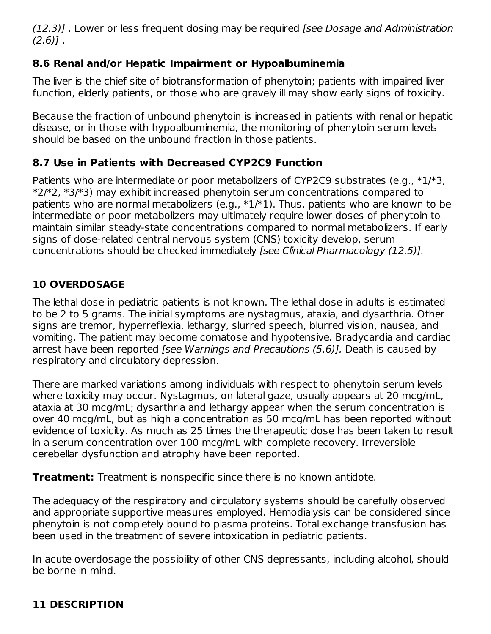(12.3)] . Lower or less frequent dosing may be required [see Dosage and Administration  $(2.6)$ ].

## **8.6 Renal and/or Hepatic Impairment or Hypoalbuminemia**

The liver is the chief site of biotransformation of phenytoin; patients with impaired liver function, elderly patients, or those who are gravely ill may show early signs of toxicity.

Because the fraction of unbound phenytoin is increased in patients with renal or hepatic disease, or in those with hypoalbuminemia, the monitoring of phenytoin serum levels should be based on the unbound fraction in those patients.

# **8.7 Use in Patients with Decreased CYP2C9 Function**

Patients who are intermediate or poor metabolizers of CYP2C9 substrates (e.g., \*1/\*3, \*2/\*2, \*3/\*3) may exhibit increased phenytoin serum concentrations compared to patients who are normal metabolizers (e.g.,  $*1/*1$ ). Thus, patients who are known to be intermediate or poor metabolizers may ultimately require lower doses of phenytoin to maintain similar steady-state concentrations compared to normal metabolizers. If early signs of dose-related central nervous system (CNS) toxicity develop, serum concentrations should be checked immediately [see Clinical Pharmacology (12.5)].

# **10 OVERDOSAGE**

The lethal dose in pediatric patients is not known. The lethal dose in adults is estimated to be 2 to 5 grams. The initial symptoms are nystagmus, ataxia, and dysarthria. Other signs are tremor, hyperreflexia, lethargy, slurred speech, blurred vision, nausea, and vomiting. The patient may become comatose and hypotensive. Bradycardia and cardiac arrest have been reported [see Warnings and Precautions (5.6)]. Death is caused by respiratory and circulatory depression.

There are marked variations among individuals with respect to phenytoin serum levels where toxicity may occur. Nystagmus, on lateral gaze, usually appears at 20 mcg/mL, ataxia at 30 mcg/mL; dysarthria and lethargy appear when the serum concentration is over 40 mcg/mL, but as high a concentration as 50 mcg/mL has been reported without evidence of toxicity. As much as 25 times the therapeutic dose has been taken to result in a serum concentration over 100 mcg/mL with complete recovery. Irreversible cerebellar dysfunction and atrophy have been reported.

**Treatment:** Treatment is nonspecific since there is no known antidote.

The adequacy of the respiratory and circulatory systems should be carefully observed and appropriate supportive measures employed. Hemodialysis can be considered since phenytoin is not completely bound to plasma proteins. Total exchange transfusion has been used in the treatment of severe intoxication in pediatric patients.

In acute overdosage the possibility of other CNS depressants, including alcohol, should be borne in mind.

# **11 DESCRIPTION**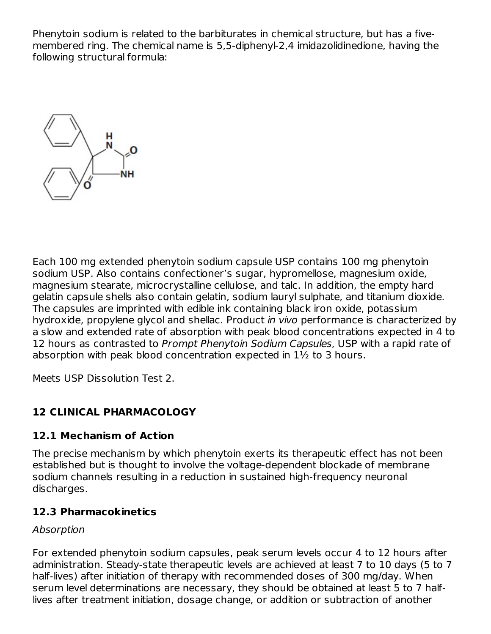Phenytoin sodium is related to the barbiturates in chemical structure, but has a fivemembered ring. The chemical name is 5,5-diphenyl-2,4 imidazolidinedione, having the following structural formula:



Each 100 mg extended phenytoin sodium capsule USP contains 100 mg phenytoin sodium USP. Also contains confectioner's sugar, hypromellose, magnesium oxide, magnesium stearate, microcrystalline cellulose, and talc. In addition, the empty hard gelatin capsule shells also contain gelatin, sodium lauryl sulphate, and titanium dioxide. The capsules are imprinted with edible ink containing black iron oxide, potassium hydroxide, propylene glycol and shellac. Product in vivo performance is characterized by a slow and extended rate of absorption with peak blood concentrations expected in 4 to 12 hours as contrasted to Prompt Phenytoin Sodium Capsules, USP with a rapid rate of absorption with peak blood concentration expected in 1½ to 3 hours.

Meets USP Dissolution Test 2.

## **12 CLINICAL PHARMACOLOGY**

## **12.1 Mechanism of Action**

The precise mechanism by which phenytoin exerts its therapeutic effect has not been established but is thought to involve the voltage-dependent blockade of membrane sodium channels resulting in a reduction in sustained high-frequency neuronal discharges.

## **12.3 Pharmacokinetics**

#### Absorption

For extended phenytoin sodium capsules, peak serum levels occur 4 to 12 hours after administration. Steady-state therapeutic levels are achieved at least 7 to 10 days (5 to 7 half-lives) after initiation of therapy with recommended doses of 300 mg/day. When serum level determinations are necessary, they should be obtained at least 5 to 7 halflives after treatment initiation, dosage change, or addition or subtraction of another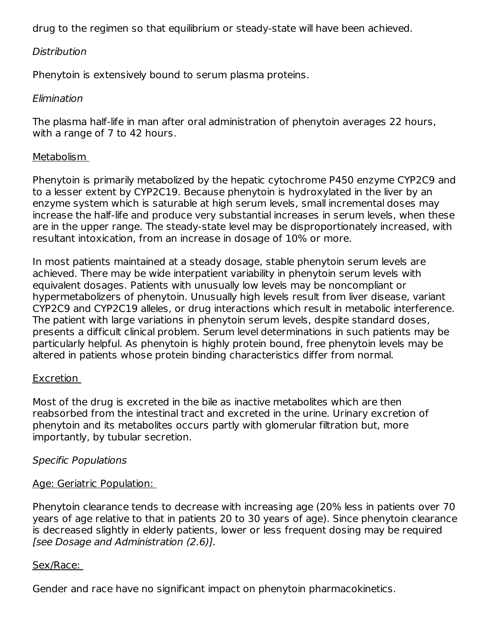drug to the regimen so that equilibrium or steady-state will have been achieved.

#### Distribution

Phenytoin is extensively bound to serum plasma proteins.

#### Elimination

The plasma half-life in man after oral administration of phenytoin averages 22 hours, with a range of 7 to 42 hours.

#### Metabolism

Phenytoin is primarily metabolized by the hepatic cytochrome P450 enzyme CYP2C9 and to a lesser extent by CYP2C19. Because phenytoin is hydroxylated in the liver by an enzyme system which is saturable at high serum levels, small incremental doses may increase the half-life and produce very substantial increases in serum levels, when these are in the upper range. The steady-state level may be disproportionately increased, with resultant intoxication, from an increase in dosage of 10% or more.

In most patients maintained at a steady dosage, stable phenytoin serum levels are achieved. There may be wide interpatient variability in phenytoin serum levels with equivalent dosages. Patients with unusually low levels may be noncompliant or hypermetabolizers of phenytoin. Unusually high levels result from liver disease, variant CYP2C9 and CYP2C19 alleles, or drug interactions which result in metabolic interference. The patient with large variations in phenytoin serum levels, despite standard doses, presents a difficult clinical problem. Serum level determinations in such patients may be particularly helpful. As phenytoin is highly protein bound, free phenytoin levels may be altered in patients whose protein binding characteristics differ from normal.

#### **Excretion**

Most of the drug is excreted in the bile as inactive metabolites which are then reabsorbed from the intestinal tract and excreted in the urine. Urinary excretion of phenytoin and its metabolites occurs partly with glomerular filtration but, more importantly, by tubular secretion.

#### Specific Populations

#### Age: Geriatric Population:

Phenytoin clearance tends to decrease with increasing age (20% less in patients over 70 years of age relative to that in patients 20 to 30 years of age). Since phenytoin clearance is decreased slightly in elderly patients, lower or less frequent dosing may be required [see Dosage and Administration (2.6)].

#### Sex/Race:

Gender and race have no significant impact on phenytoin pharmacokinetics.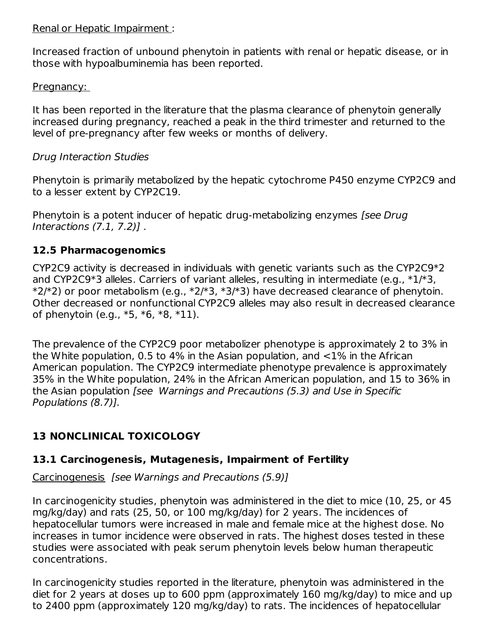#### Renal or Hepatic Impairment :

Increased fraction of unbound phenytoin in patients with renal or hepatic disease, or in those with hypoalbuminemia has been reported.

#### Pregnancy:

It has been reported in the literature that the plasma clearance of phenytoin generally increased during pregnancy, reached a peak in the third trimester and returned to the level of pre-pregnancy after few weeks or months of delivery.

### Drug Interaction Studies

Phenytoin is primarily metabolized by the hepatic cytochrome P450 enzyme CYP2C9 and to a lesser extent by CYP2C19.

Phenytoin is a potent inducer of hepatic drug-metabolizing enzymes [see Drug] Interactions (7.1, 7.2)] .

### **12.5 Pharmacogenomics**

CYP2C9 activity is decreased in individuals with genetic variants such as the CYP2C9\*2 and CYP2C9\*3 alleles. Carriers of variant alleles, resulting in intermediate (e.g., \*1/\*3,  $*2/*2$ ) or poor metabolism (e.g.,  $*2/*3$ ,  $*3/*3$ ) have decreased clearance of phenytoin. Other decreased or nonfunctional CYP2C9 alleles may also result in decreased clearance of phenytoin (e.g., \*5, \*6, \*8, \*11).

The prevalence of the CYP2C9 poor metabolizer phenotype is approximately 2 to 3% in the White population, 0.5 to 4% in the Asian population, and <1% in the African American population. The CYP2C9 intermediate phenotype prevalence is approximately 35% in the White population, 24% in the African American population, and 15 to 36% in the Asian population [see Warnings and Precautions (5.3) and Use in Specific Populations (8.7)].

## **13 NONCLINICAL TOXICOLOGY**

## **13.1 Carcinogenesis, Mutagenesis, Impairment of Fertility**

Carcinogenesis [see Warnings and Precautions (5.9)]

In carcinogenicity studies, phenytoin was administered in the diet to mice (10, 25, or 45 mg/kg/day) and rats (25, 50, or 100 mg/kg/day) for 2 years. The incidences of hepatocellular tumors were increased in male and female mice at the highest dose. No increases in tumor incidence were observed in rats. The highest doses tested in these studies were associated with peak serum phenytoin levels below human therapeutic concentrations.

In carcinogenicity studies reported in the literature, phenytoin was administered in the diet for 2 years at doses up to 600 ppm (approximately 160 mg/kg/day) to mice and up to 2400 ppm (approximately 120 mg/kg/day) to rats. The incidences of hepatocellular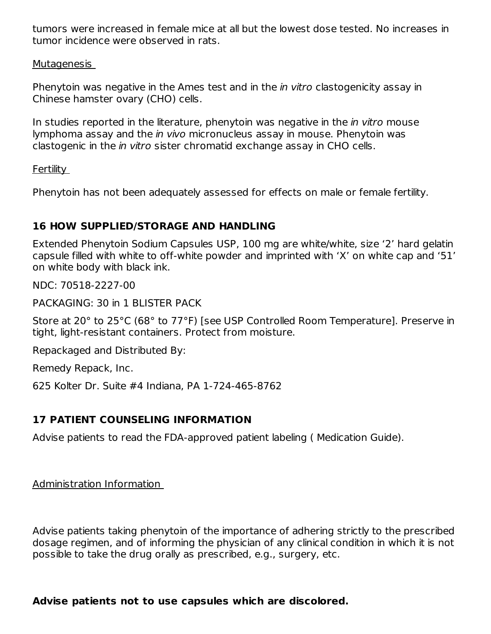tumors were increased in female mice at all but the lowest dose tested. No increases in tumor incidence were observed in rats.

Mutagenesis

Phenytoin was negative in the Ames test and in the *in vitro* clastogenicity assay in Chinese hamster ovary (CHO) cells.

In studies reported in the literature, phenytoin was negative in the *in vitro* mouse lymphoma assay and the in vivo micronucleus assay in mouse. Phenytoin was clastogenic in the in vitro sister chromatid exchange assay in CHO cells.

#### Fertility

Phenytoin has not been adequately assessed for effects on male or female fertility.

## **16 HOW SUPPLIED/STORAGE AND HANDLING**

Extended Phenytoin Sodium Capsules USP, 100 mg are white/white, size '2' hard gelatin capsule filled with white to off-white powder and imprinted with 'X' on white cap and '51' on white body with black ink.

NDC: 70518-2227-00

PACKAGING: 30 in 1 BLISTER PACK

Store at 20° to 25°C (68° to 77°F) [see USP Controlled Room Temperature]. Preserve in tight, light-resistant containers. Protect from moisture.

Repackaged and Distributed By:

Remedy Repack, Inc.

625 Kolter Dr. Suite #4 Indiana, PA 1-724-465-8762

## **17 PATIENT COUNSELING INFORMATION**

Advise patients to read the FDA-approved patient labeling ( Medication Guide).

Administration Information

Advise patients taking phenytoin of the importance of adhering strictly to the prescribed dosage regimen, and of informing the physician of any clinical condition in which it is not possible to take the drug orally as prescribed, e.g., surgery, etc.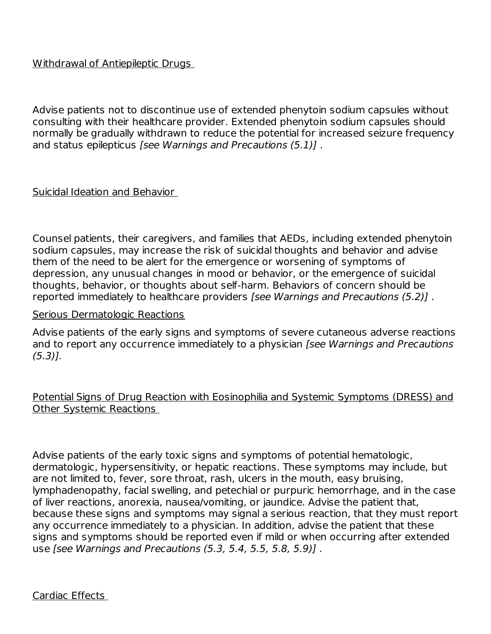#### Withdrawal of Antiepileptic Drugs

Advise patients not to discontinue use of extended phenytoin sodium capsules without consulting with their healthcare provider. Extended phenytoin sodium capsules should normally be gradually withdrawn to reduce the potential for increased seizure frequency and status epilepticus [see Warnings and Precautions (5.1)] .

#### Suicidal Ideation and Behavior

Counsel patients, their caregivers, and families that AEDs, including extended phenytoin sodium capsules, may increase the risk of suicidal thoughts and behavior and advise them of the need to be alert for the emergence or worsening of symptoms of depression, any unusual changes in mood or behavior, or the emergence of suicidal thoughts, behavior, or thoughts about self-harm. Behaviors of concern should be reported immediately to healthcare providers [see Warnings and Precautions (5.2)] .

#### Serious Dermatologic Reactions

Advise patients of the early signs and symptoms of severe cutaneous adverse reactions and to report any occurrence immediately to a physician [see Warnings and Precautions  $(5.3)$ ].

#### Potential Signs of Drug Reaction with Eosinophilia and Systemic Symptoms (DRESS) and Other Systemic Reactions

Advise patients of the early toxic signs and symptoms of potential hematologic, dermatologic, hypersensitivity, or hepatic reactions. These symptoms may include, but are not limited to, fever, sore throat, rash, ulcers in the mouth, easy bruising, lymphadenopathy, facial swelling, and petechial or purpuric hemorrhage, and in the case of liver reactions, anorexia, nausea/vomiting, or jaundice. Advise the patient that, because these signs and symptoms may signal a serious reaction, that they must report any occurrence immediately to a physician. In addition, advise the patient that these signs and symptoms should be reported even if mild or when occurring after extended use [see Warnings and Precautions (5.3, 5.4, 5.5, 5.8, 5.9)] .

Cardiac Effects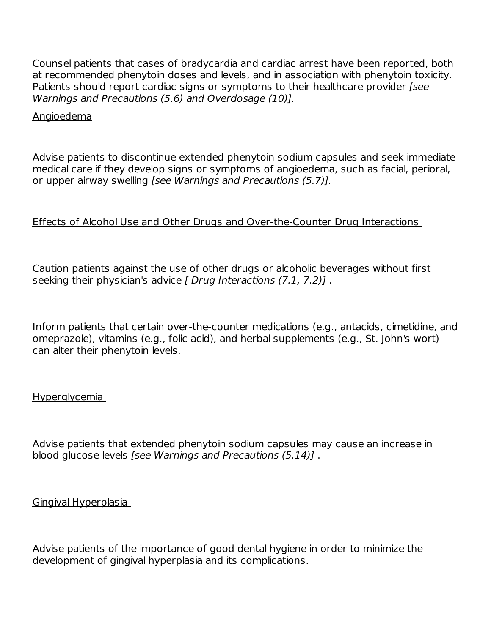Counsel patients that cases of bradycardia and cardiac arrest have been reported, both at recommended phenytoin doses and levels, and in association with phenytoin toxicity. Patients should report cardiac signs or symptoms to their healthcare provider [see Warnings and Precautions (5.6) and Overdosage (10)].

#### Angioedema

Advise patients to discontinue extended phenytoin sodium capsules and seek immediate medical care if they develop signs or symptoms of angioedema, such as facial, perioral, or upper airway swelling [see Warnings and Precautions (5.7)].

#### Effects of Alcohol Use and Other Drugs and Over-the-Counter Drug Interactions

Caution patients against the use of other drugs or alcoholic beverages without first seeking their physician's advice [ Drug Interactions (7.1, 7.2)].

Inform patients that certain over-the-counter medications (e.g., antacids, cimetidine, and omeprazole), vitamins (e.g., folic acid), and herbal supplements (e.g., St. John's wort) can alter their phenytoin levels.

#### Hyperglycemia

Advise patients that extended phenytoin sodium capsules may cause an increase in blood glucose levels [see Warnings and Precautions (5.14)] .

#### Gingival Hyperplasia

Advise patients of the importance of good dental hygiene in order to minimize the development of gingival hyperplasia and its complications.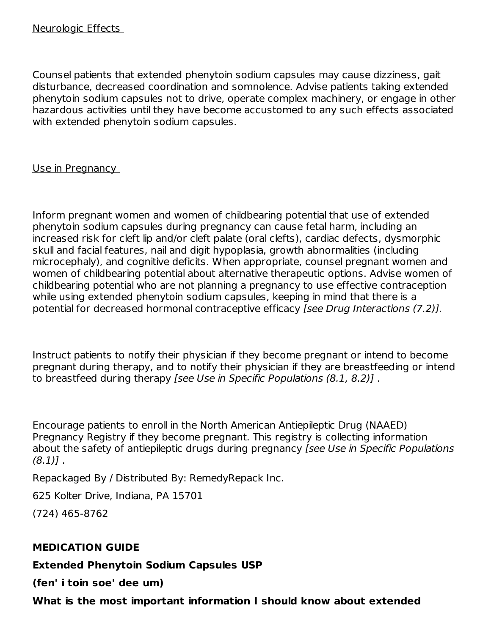Counsel patients that extended phenytoin sodium capsules may cause dizziness, gait disturbance, decreased coordination and somnolence. Advise patients taking extended phenytoin sodium capsules not to drive, operate complex machinery, or engage in other hazardous activities until they have become accustomed to any such effects associated with extended phenytoin sodium capsules.

#### Use in Pregnancy

Inform pregnant women and women of childbearing potential that use of extended phenytoin sodium capsules during pregnancy can cause fetal harm, including an increased risk for cleft lip and/or cleft palate (oral clefts), cardiac defects, dysmorphic skull and facial features, nail and digit hypoplasia, growth abnormalities (including microcephaly), and cognitive deficits. When appropriate, counsel pregnant women and women of childbearing potential about alternative therapeutic options. Advise women of childbearing potential who are not planning a pregnancy to use effective contraception while using extended phenytoin sodium capsules, keeping in mind that there is a potential for decreased hormonal contraceptive efficacy [see Drug Interactions (7.2)].

Instruct patients to notify their physician if they become pregnant or intend to become pregnant during therapy, and to notify their physician if they are breastfeeding or intend to breastfeed during therapy [see Use in Specific Populations (8.1, 8.2)] .

Encourage patients to enroll in the North American Antiepileptic Drug (NAAED) Pregnancy Registry if they become pregnant. This registry is collecting information about the safety of antiepileptic drugs during pregnancy [see Use in Specific Populations  $(8.1)$ .

Repackaged By / Distributed By: RemedyRepack Inc.

625 Kolter Drive, Indiana, PA 15701

(724) 465-8762

#### **MEDICATION GUIDE**

**Extended Phenytoin Sodium Capsules USP**

**(fen' i toin soe' dee um)**

**What is the most important information I should know about extended**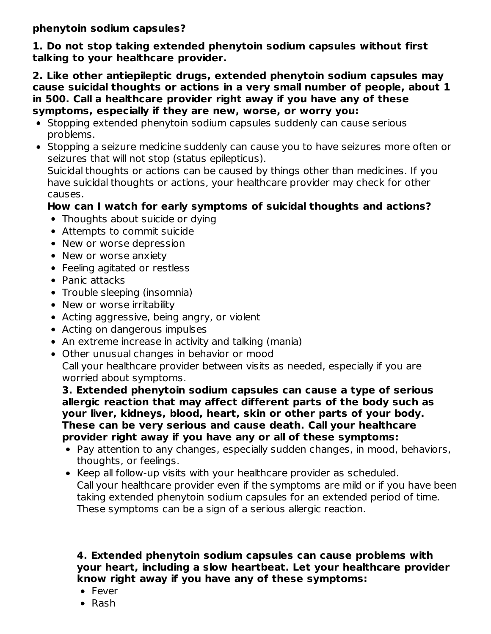**phenytoin sodium capsules?**

**1. Do not stop taking extended phenytoin sodium capsules without first talking to your healthcare provider.**

**2. Like other antiepileptic drugs, extended phenytoin sodium capsules may cause suicidal thoughts or actions in a very small number of people, about 1 in 500. Call a healthcare provider right away if you have any of these symptoms, especially if they are new, worse, or worry you:**

- Stopping extended phenytoin sodium capsules suddenly can cause serious problems.
- Stopping a seizure medicine suddenly can cause you to have seizures more often or seizures that will not stop (status epilepticus).

Suicidal thoughts or actions can be caused by things other than medicines. If you have suicidal thoughts or actions, your healthcare provider may check for other causes.

## **How can I watch for early symptoms of suicidal thoughts and actions?**

- Thoughts about suicide or dying
- Attempts to commit suicide
- New or worse depression
- New or worse anxiety
- Feeling agitated or restless
- Panic attacks
- Trouble sleeping (insomnia)
- New or worse irritability
- Acting aggressive, being angry, or violent
- Acting on dangerous impulses
- An extreme increase in activity and talking (mania)
- Other unusual changes in behavior or mood
- Call your healthcare provider between visits as needed, especially if you are worried about symptoms.

**3. Extended phenytoin sodium capsules can cause a type of serious allergic reaction that may affect different parts of the body such as your liver, kidneys, blood, heart, skin or other parts of your body. These can be very serious and cause death. Call your healthcare provider right away if you have any or all of these symptoms:**

- Pay attention to any changes, especially sudden changes, in mood, behaviors, thoughts, or feelings.
- Keep all follow-up visits with your healthcare provider as scheduled. Call your healthcare provider even if the symptoms are mild or if you have been taking extended phenytoin sodium capsules for an extended period of time. These symptoms can be a sign of a serious allergic reaction.

#### **4. Extended phenytoin sodium capsules can cause problems with your heart, including a slow heartbeat. Let your healthcare provider know right away if you have any of these symptoms:**

- Fever
- Rash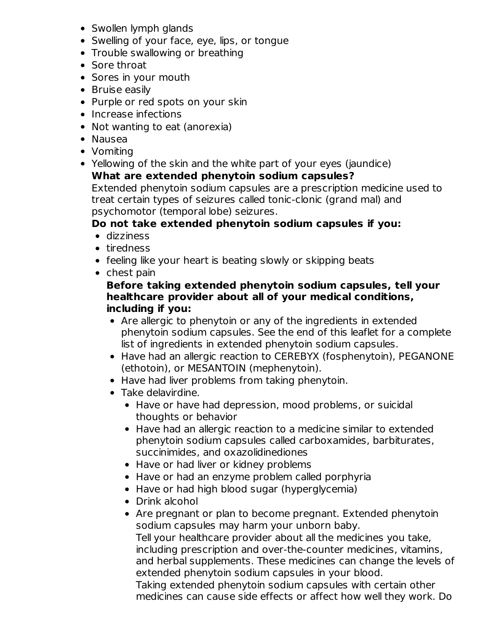- Swollen lymph glands
- Swelling of your face, eye, lips, or tongue
- Trouble swallowing or breathing
- Sore throat
- Sores in your mouth
- Bruise easily
- Purple or red spots on your skin
- Increase infections
- Not wanting to eat (anorexia)
- Nausea
- Vomiting
- Yellowing of the skin and the white part of your eyes (jaundice)

## **What are extended phenytoin sodium capsules?**

Extended phenytoin sodium capsules are a prescription medicine used to treat certain types of seizures called tonic-clonic (grand mal) and psychomotor (temporal lobe) seizures.

## **Do not take extended phenytoin sodium capsules if you:**

- dizziness
- tiredness
- feeling like your heart is beating slowly or skipping beats
- chest pain

### **Before taking extended phenytoin sodium capsules, tell your healthcare provider about all of your medical conditions, including if you:**

- Are allergic to phenytoin or any of the ingredients in extended phenytoin sodium capsules. See the end of this leaflet for a complete list of ingredients in extended phenytoin sodium capsules.
- Have had an allergic reaction to CEREBYX (fosphenytoin), PEGANONE (ethotoin), or MESANTOIN (mephenytoin).
- Have had liver problems from taking phenytoin.
- Take delavirdine.
	- Have or have had depression, mood problems, or suicidal thoughts or behavior
	- Have had an allergic reaction to a medicine similar to extended phenytoin sodium capsules called carboxamides, barbiturates, succinimides, and oxazolidinediones
	- Have or had liver or kidney problems
	- Have or had an enzyme problem called porphyria
	- Have or had high blood sugar (hyperglycemia)
	- Drink alcohol
	- Are pregnant or plan to become pregnant. Extended phenytoin sodium capsules may harm your unborn baby. Tell your healthcare provider about all the medicines you take, including prescription and over-the-counter medicines, vitamins, and herbal supplements. These medicines can change the levels of extended phenytoin sodium capsules in your blood. Taking extended phenytoin sodium capsules with certain other

medicines can cause side effects or affect how well they work. Do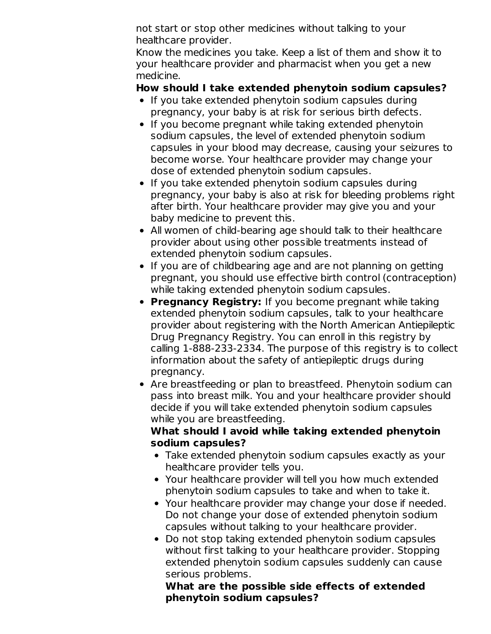not start or stop other medicines without talking to your healthcare provider.

Know the medicines you take. Keep a list of them and show it to your healthcare provider and pharmacist when you get a new medicine.

### **How should I take extended phenytoin sodium capsules?**

- If you take extended phenytoin sodium capsules during pregnancy, your baby is at risk for serious birth defects.
- If you become pregnant while taking extended phenytoin sodium capsules, the level of extended phenytoin sodium capsules in your blood may decrease, causing your seizures to become worse. Your healthcare provider may change your dose of extended phenytoin sodium capsules.
- If you take extended phenytoin sodium capsules during pregnancy, your baby is also at risk for bleeding problems right after birth. Your healthcare provider may give you and your baby medicine to prevent this.
- All women of child-bearing age should talk to their healthcare provider about using other possible treatments instead of extended phenytoin sodium capsules.
- If you are of childbearing age and are not planning on getting pregnant, you should use effective birth control (contraception) while taking extended phenytoin sodium capsules.
- **Pregnancy Registry:** If you become pregnant while taking extended phenytoin sodium capsules, talk to your healthcare provider about registering with the North American Antiepileptic Drug Pregnancy Registry. You can enroll in this registry by calling 1-888-233-2334. The purpose of this registry is to collect information about the safety of antiepileptic drugs during pregnancy.
- Are breastfeeding or plan to breastfeed. Phenytoin sodium can pass into breast milk. You and your healthcare provider should decide if you will take extended phenytoin sodium capsules while you are breastfeeding.

### **What should I avoid while taking extended phenytoin sodium capsules?**

- Take extended phenytoin sodium capsules exactly as your healthcare provider tells you.
- Your healthcare provider will tell you how much extended phenytoin sodium capsules to take and when to take it.
- Your healthcare provider may change your dose if needed. Do not change your dose of extended phenytoin sodium capsules without talking to your healthcare provider.
- Do not stop taking extended phenytoin sodium capsules without first talking to your healthcare provider. Stopping extended phenytoin sodium capsules suddenly can cause serious problems.

**What are the possible side effects of extended phenytoin sodium capsules?**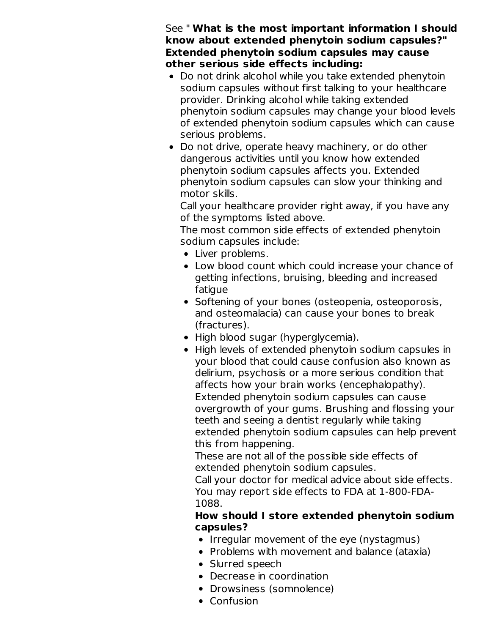See " **What is the most important information I should know about extended phenytoin sodium capsules?" Extended phenytoin sodium capsules may cause other serious side effects including:**

- Do not drink alcohol while you take extended phenytoin sodium capsules without first talking to your healthcare provider. Drinking alcohol while taking extended phenytoin sodium capsules may change your blood levels of extended phenytoin sodium capsules which can cause serious problems.
- Do not drive, operate heavy machinery, or do other dangerous activities until you know how extended phenytoin sodium capsules affects you. Extended phenytoin sodium capsules can slow your thinking and motor skills.

Call your healthcare provider right away, if you have any of the symptoms listed above.

The most common side effects of extended phenytoin sodium capsules include:

- Liver problems.
- Low blood count which could increase your chance of getting infections, bruising, bleeding and increased fatigue
- Softening of your bones (osteopenia, osteoporosis, and osteomalacia) can cause your bones to break (fractures).
- High blood sugar (hyperglycemia).
- High levels of extended phenytoin sodium capsules in your blood that could cause confusion also known as delirium, psychosis or a more serious condition that affects how your brain works (encephalopathy). Extended phenytoin sodium capsules can cause overgrowth of your gums. Brushing and flossing your teeth and seeing a dentist regularly while taking extended phenytoin sodium capsules can help prevent this from happening.

These are not all of the possible side effects of extended phenytoin sodium capsules.

Call your doctor for medical advice about side effects. You may report side effects to FDA at 1-800-FDA-1088.

#### **How should I store extended phenytoin sodium capsules?**

- Irregular movement of the eye (nystagmus)
- Problems with movement and balance (ataxia)
- Slurred speech
- Decrease in coordination
- Drowsiness (somnolence)
- Confusion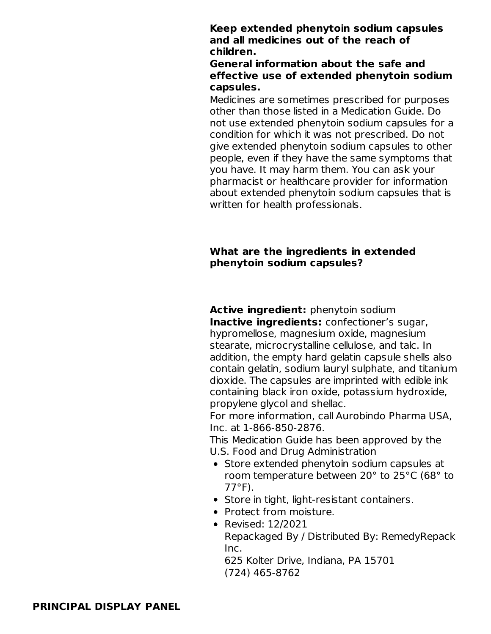#### **Keep extended phenytoin sodium capsules and all medicines out of the reach of children.**

#### **General information about the safe and effective use of extended phenytoin sodium capsules.**

Medicines are sometimes prescribed for purposes other than those listed in a Medication Guide. Do not use extended phenytoin sodium capsules for a condition for which it was not prescribed. Do not give extended phenytoin sodium capsules to other people, even if they have the same symptoms that you have. It may harm them. You can ask your pharmacist or healthcare provider for information about extended phenytoin sodium capsules that is written for health professionals.

#### **What are the ingredients in extended phenytoin sodium capsules?**

**Active ingredient:** phenytoin sodium **Inactive ingredients:** confectioner's sugar, hypromellose, magnesium oxide, magnesium stearate, microcrystalline cellulose, and talc. In addition, the empty hard gelatin capsule shells also contain gelatin, sodium lauryl sulphate, and titanium dioxide. The capsules are imprinted with edible ink containing black iron oxide, potassium hydroxide, propylene glycol and shellac.

For more information, call Aurobindo Pharma USA, Inc. at 1-866-850-2876.

This Medication Guide has been approved by the U.S. Food and Drug Administration

- Store extended phenytoin sodium capsules at room temperature between 20° to 25°C (68° to 77°F).
- Store in tight, light-resistant containers.
- Protect from moisture.
- Revised: 12/2021

Repackaged By / Distributed By: RemedyRepack Inc.

625 Kolter Drive, Indiana, PA 15701 (724) 465-8762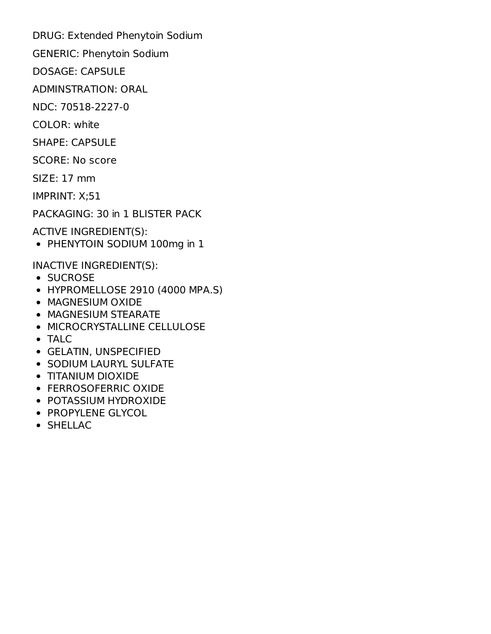DRUG: Extended Phenytoin Sodium

GENERIC: Phenytoin Sodium

DOSAGE: CAPSULE

ADMINSTRATION: ORAL

NDC: 70518-2227-0

COLOR: white

SHAPE: CAPSULE

SCORE: No score

SIZE: 17 mm

IMPRINT: X;51

PACKAGING: 30 in 1 BLISTER PACK

ACTIVE INGREDIENT(S):

PHENYTOIN SODIUM 100mg in 1

INACTIVE INGREDIENT(S):

- SUCROSE
- HYPROMELLOSE 2910 (4000 MPA.S)
- **MAGNESIUM OXIDE**
- MAGNESIUM STEARATE
- MICROCRYSTALLINE CELLULOSE
- TALC
- GELATIN, UNSPECIFIED
- **SODIUM LAURYL SULFATE**
- TITANIUM DIOXIDE
- FERROSOFERRIC OXIDE
- POTASSIUM HYDROXIDE
- PROPYLENE GLYCOL
- SHELLAC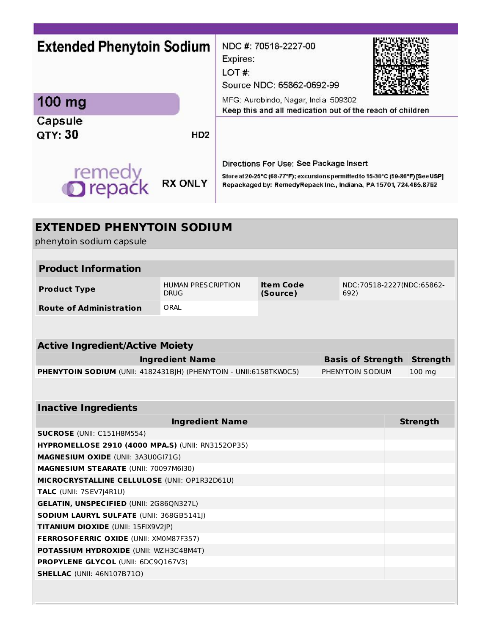| <b>Extended Phenytoin Sodium</b><br>100 mg<br>Capsule<br>QTY: 30<br>remedy<br><b>Orepack</b> | HD <sub>2</sub><br><b>RX ONLY</b>        | Expires:<br>LOT# | NDC #: 70518-2227-00<br>Source NDC: 65862-0692-99<br>MFG: Aurobindo, Nagar, India 509302<br>Keep this and all medication out of the reach of children<br>Directions For Use: See Package Insert<br>Store at 20-25°C (68-77°F); excursions permitted to 15-30°C (59-86°F) [See USP]<br>Repackaged by: RemedyRepack Inc., Indiana, PA 15701, 724.465.8762 |  |                          |                           |  |
|----------------------------------------------------------------------------------------------|------------------------------------------|------------------|---------------------------------------------------------------------------------------------------------------------------------------------------------------------------------------------------------------------------------------------------------------------------------------------------------------------------------------------------------|--|--------------------------|---------------------------|--|
| <b>EXTENDED PHENYTOIN SODIUM</b><br>phenytoin sodium capsule                                 |                                          |                  |                                                                                                                                                                                                                                                                                                                                                         |  |                          |                           |  |
| <b>Product Information</b>                                                                   |                                          |                  |                                                                                                                                                                                                                                                                                                                                                         |  |                          |                           |  |
| <b>Product Type</b>                                                                          | <b>HUMAN PRESCRIPTION</b><br><b>DRUG</b> |                  | <b>Item Code</b><br>(Source)                                                                                                                                                                                                                                                                                                                            |  | 692)                     | NDC:70518-2227(NDC:65862- |  |
| <b>Route of Administration</b>                                                               | ORAL                                     |                  |                                                                                                                                                                                                                                                                                                                                                         |  |                          |                           |  |
| <b>Active Ingredient/Active Moiety</b>                                                       |                                          |                  |                                                                                                                                                                                                                                                                                                                                                         |  |                          |                           |  |
|                                                                                              | <b>Ingredient Name</b>                   |                  |                                                                                                                                                                                                                                                                                                                                                         |  | <b>Basis of Strength</b> | <b>Strength</b>           |  |
| PHENYTOIN SODIUM (UNII: 4182431BJH) (PHENYTOIN - UNII:6158TKW0C5)                            |                                          |                  |                                                                                                                                                                                                                                                                                                                                                         |  | PHENYTOIN SODIUM         | 100 mg                    |  |
|                                                                                              |                                          |                  |                                                                                                                                                                                                                                                                                                                                                         |  |                          |                           |  |
| <b>Inactive Ingredients</b>                                                                  |                                          |                  |                                                                                                                                                                                                                                                                                                                                                         |  |                          |                           |  |
|                                                                                              | <b>Ingredient Name</b>                   |                  |                                                                                                                                                                                                                                                                                                                                                         |  |                          | <b>Strength</b>           |  |
| <b>SUCROSE (UNII: C151H8M554)</b>                                                            |                                          |                  |                                                                                                                                                                                                                                                                                                                                                         |  |                          |                           |  |
| <b>HYPROMELLOSE 2910 (4000 MPA.S) (UNII: RN31520P35)</b>                                     |                                          |                  |                                                                                                                                                                                                                                                                                                                                                         |  |                          |                           |  |
| MAGNESIUM OXIDE (UNII: 3A3U0GI71G)                                                           |                                          |                  |                                                                                                                                                                                                                                                                                                                                                         |  |                          |                           |  |
| <b>MAGNESIUM STEARATE (UNII: 70097M6I30)</b>                                                 |                                          |                  |                                                                                                                                                                                                                                                                                                                                                         |  |                          |                           |  |
| MICROCRYSTALLINE CELLULOSE (UNII: OP1R32D61U)                                                |                                          |                  |                                                                                                                                                                                                                                                                                                                                                         |  |                          |                           |  |
| TALC (UNII: 7SEV7J4R1U)                                                                      |                                          |                  |                                                                                                                                                                                                                                                                                                                                                         |  |                          |                           |  |
| <b>GELATIN, UNSPECIFIED (UNII: 2G86QN327L)</b>                                               |                                          |                  |                                                                                                                                                                                                                                                                                                                                                         |  |                          |                           |  |
| <b>SODIUM LAURYL SULFATE (UNII: 368GB5141J)</b>                                              |                                          |                  |                                                                                                                                                                                                                                                                                                                                                         |  |                          |                           |  |
| <b>TITANIUM DIOXIDE (UNII: 15FIX9V2JP)</b>                                                   |                                          |                  |                                                                                                                                                                                                                                                                                                                                                         |  |                          |                           |  |
| <b>FERROSOFERRIC OXIDE (UNII: XM0M87F357)</b>                                                |                                          |                  |                                                                                                                                                                                                                                                                                                                                                         |  |                          |                           |  |
| <b>POTASSIUM HYDROXIDE (UNII: WZH3C48M4T)</b>                                                |                                          |                  |                                                                                                                                                                                                                                                                                                                                                         |  |                          |                           |  |
| <b>PROPYLENE GLYCOL (UNII: 6DC9Q167V3)</b>                                                   |                                          |                  |                                                                                                                                                                                                                                                                                                                                                         |  |                          |                           |  |
| <b>SHELLAC</b> (UNII: 46N107B71O)                                                            |                                          |                  |                                                                                                                                                                                                                                                                                                                                                         |  |                          |                           |  |
|                                                                                              |                                          |                  |                                                                                                                                                                                                                                                                                                                                                         |  |                          |                           |  |